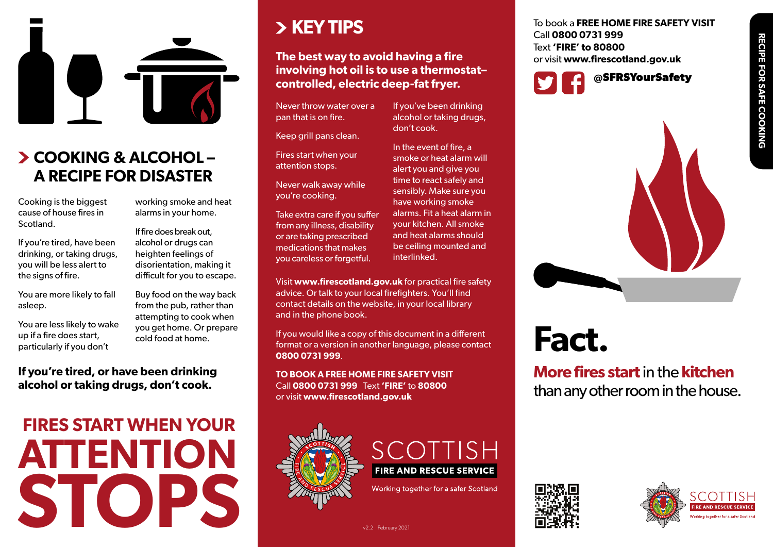



## **COOKING & ALCOHOL – A RECIPE FOR DISASTER**

Cooking is the biggest cause of house fires in Scotland.

If you're tired, have been drinking, or taking drugs, you will be less alert to the signs of fire.

You are more likely to fall asleep.

You are less likely to wake up if a fire does start, particularly if you don't

Buy food on the way back from the pub, rather than attempting to cook when you get home. Or prepare cold food at home.

working smoke and heat alarms in your home. If fire does break out, alcohol or drugs can heighten feelings of disorientation, making it difficult for you to escape.

#### **If you're tired, or have been drinking alcohol or taking drugs, don't cook.**

## **FIRES START WHEN YOUR ATTENTION STOPS**

## **KEY TIPS**

## **The best way to avoid having a fire involving hot oil is to use a thermostat– controlled, electric deep-fat fryer.**

Never throw water over a pan that is on fire.

Keep grill pans clean.

Fires start when your attention stops.

Never walk away while you're cooking.

Take extra care if you suffer from any illness, disability or are taking prescribed medications that makes you careless or forgetful.

Visit **www.firescotland.gov.uk** for practical fire safety advice. Or talk to your local firefighters. You'll find contact details on the website, in your local library and in the phone book.

If you would like a copy of this document in a different format or a version in another language, please contact **0800 0731 999**.

**TO BOOK A FREE HOME FIRE SAFETY VISIT** Call **0800 0731 999** Text **'FIRE'** to **80800** or visit **www.firescotland.gov.uk**





Working together for a safer Scotland



If you've been drinking alcohol or taking drugs, don't cook. or visit **www.firescotland.gov.uk**

In the event of fire, a smoke or heat alarm will alert you and give you time to react safely and sensibly. Make sure you have working smoke alarms. Fit a heat alarm in your kitchen. All smoke and heat alarms should be ceiling mounted and interlinked.

**Fact.**

**More fires start** in the **kitchen** than any other room in the house.



To book a **FREE HOME FIRE SAFETY VISIT**

**@SFRSYourSafety**

Call **0800 0731 999** Text **'FIRE' to 80800**